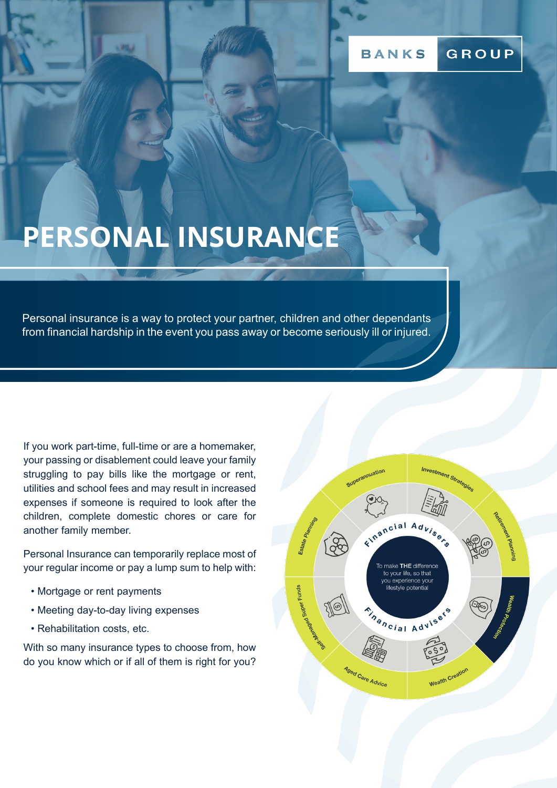# **PERSONAL INSURANCE**

Personal insurance is a way to protect your partner, children and other dependants from financial hardship in the event you pass away or become seriously ill or injured.

If you work part-time, full-time or are a homemaker, your passing or disablement could leave your family struggling to pay bills like the mortgage or rent, utilities and school fees and may result in increased expenses if someone is required to look after the children, complete domestic chores or care for another family member.

Personal Insurance can temporarily replace most of your regular income or pay a lump sum to help with:

- Mortgage or rent payments
- Meeting day-to-day living expenses
- Rehabilitation costs, etc.

With so many insurance types to choose from, how do you know which or if all of them is right for you?

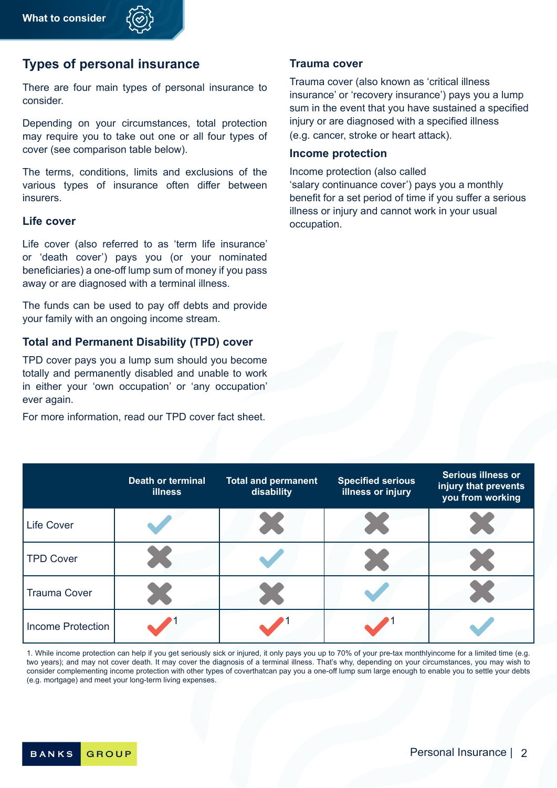## **Types of personal insurance**

There are four main types of personal insurance to consider.

Depending on your circumstances, total protection may require you to take out one or all four types of cover (see comparison table below).

The terms, conditions, limits and exclusions of the various types of insurance often differ between insurers.

#### **Life cover**

Life cover (also referred to as 'term life insurance' or 'death cover') pays you (or your nominated beneficiaries) a one-off lump sum of money if you pass away or are diagnosed with a terminal illness.

The funds can be used to pay off debts and provide your family with an ongoing income stream.

#### **Total and Permanent Disability (TPD) cover**

TPD cover pays you a lump sum should you become totally and permanently disabled and unable to work in either your 'own occupation' or 'any occupation' ever again.

For more information, read our TPD cover fact sheet.

#### **Trauma cover**

Trauma cover (also known as 'critical illness insurance' or 'recovery insurance') pays you a lump sum in the event that you have sustained a specified injury or are diagnosed with a specified illness (e.g. cancer, stroke or heart attack).

#### **Income protection**

Income protection (also called 'salary continuance cover') pays you a monthly benefit for a set period of time if you suffer a serious illness or injury and cannot work in your usual occupation.

|                          | <b>Death or terminal</b><br><b>illness</b> | <b>Total and permanent</b><br>disability | <b>Specified serious</b><br>illness or injury | <b>Serious illness or</b><br>injury that prevents<br>you from working |
|--------------------------|--------------------------------------------|------------------------------------------|-----------------------------------------------|-----------------------------------------------------------------------|
| <b>Life Cover</b>        |                                            | Z.                                       |                                               |                                                                       |
| <b>TPD Cover</b>         |                                            |                                          | e.<br>Nati                                    |                                                                       |
| <b>Trauma Cover</b>      | $\mathcal{L}_{\text{max}}$                 |                                          |                                               |                                                                       |
| <b>Income Protection</b> |                                            |                                          |                                               |                                                                       |

1. While income protection can help if you get seriously sick or injured, it only pays you up to 70% of your pre-tax monthlyincome for a limited time (e.g. two years); and may not cover death. It may cover the diagnosis of a terminal illness. That's why, depending on your circumstances, you may wish to consider complementing income protection with other types of coverthatcan pay you a one-off lump sum large enough to enable you to settle your debts (e.g. mortgage) and meet your long-term living expenses.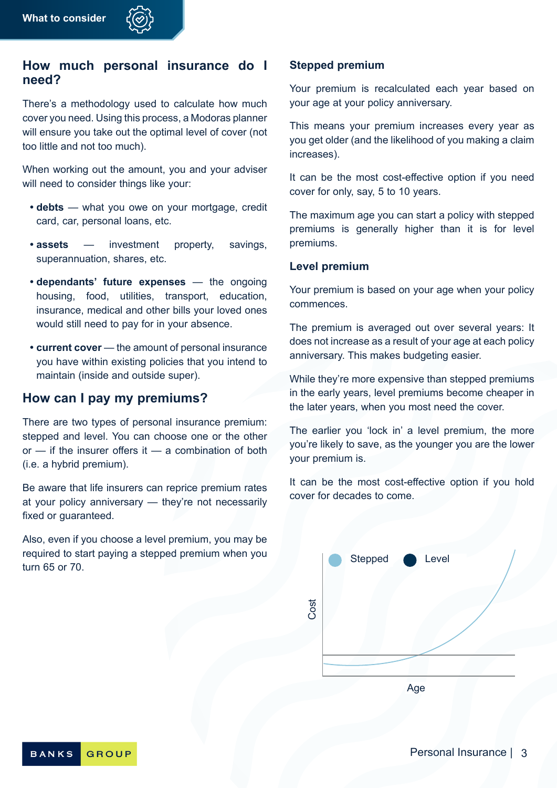### **How much personal insurance do I need?**

There's a methodology used to calculate how much cover you need. Using this process, a Modoras planner will ensure you take out the optimal level of cover (not too little and not too much).

When working out the amount, you and your adviser will need to consider things like your:

- **• debts** what you owe on your mortgage, credit card, car, personal loans, etc.
- **• assets** investment property, savings, superannuation, shares, etc.
- **• dependants' future expenses** the ongoing housing, food, utilities, transport, education, insurance, medical and other bills your loved ones would still need to pay for in your absence.
- **• current cover** the amount of personal insurance you have within existing policies that you intend to maintain (inside and outside super).

## **How can I pay my premiums?**

There are two types of personal insurance premium: stepped and level. You can choose one or the other  $or$  — if the insurer offers it — a combination of both (i.e. a hybrid premium).

Be aware that life insurers can reprice premium rates at your policy anniversary — they're not necessarily fixed or guaranteed.

Also, even if you choose a level premium, you may be required to start paying a stepped premium when you turn 65 or 70.

#### **Stepped premium**

Your premium is recalculated each year based on your age at your policy anniversary.

This means your premium increases every year as you get older (and the likelihood of you making a claim increases).

It can be the most cost-effective option if you need cover for only, say, 5 to 10 years.

The maximum age you can start a policy with stepped premiums is generally higher than it is for level premiums.

#### **Level premium**

Your premium is based on your age when your policy commences.

The premium is averaged out over several years: It does not increase as a result of your age at each policy anniversary. This makes budgeting easier.

While they're more expensive than stepped premiums in the early years, level premiums become cheaper in the later years, when you most need the cover.

The earlier you 'lock in' a level premium, the more you're likely to save, as the younger you are the lower your premium is.

It can be the most cost-effective option if you hold cover for decades to come.